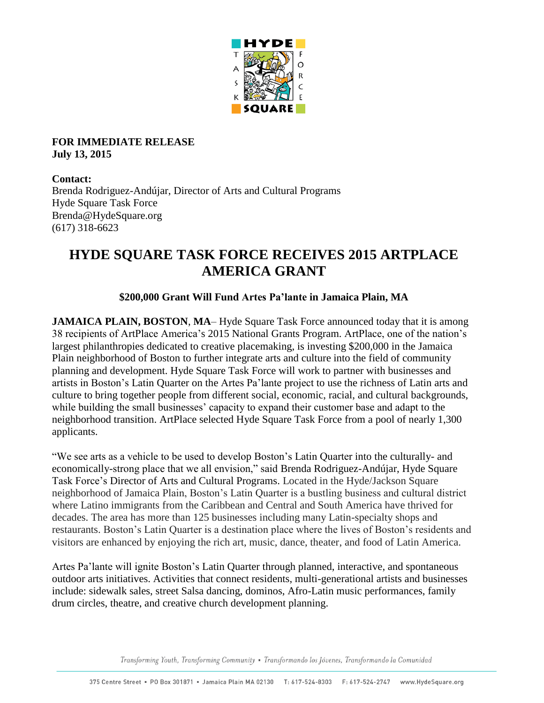

#### **FOR IMMEDIATE RELEASE July 13, 2015**

#### **Contact:**

Brenda Rodriguez-Andújar, Director of Arts and Cultural Programs Hyde Square Task Force Brenda@HydeSquare.org (617) 318-6623

# **HYDE SQUARE TASK FORCE RECEIVES 2015 ARTPLACE AMERICA GRANT**

### **\$200,000 Grant Will Fund Artes Pa'lante in Jamaica Plain, MA**

**JAMAICA PLAIN, BOSTON, MA– Hyde Square Task Force announced today that it is among** 38 recipients of ArtPlace America's 2015 National Grants Program. ArtPlace, one of the nation's largest philanthropies dedicated to creative placemaking, is investing \$200,000 in the Jamaica Plain neighborhood of Boston to further integrate arts and culture into the field of community planning and development. Hyde Square Task Force will work to partner with businesses and artists in Boston's Latin Quarter on the Artes Pa'lante project to use the richness of Latin arts and culture to bring together people from different social, economic, racial, and cultural backgrounds, while building the small businesses' capacity to expand their customer base and adapt to the neighborhood transition. ArtPlace selected Hyde Square Task Force from a pool of nearly 1,300 applicants.

"We see arts as a vehicle to be used to develop Boston's Latin Quarter into the culturally- and economically-strong place that we all envision," said Brenda Rodriguez-Andújar, Hyde Square Task Force's Director of Arts and Cultural Programs. Located in the Hyde/Jackson Square neighborhood of Jamaica Plain, Boston's Latin Quarter is a bustling business and cultural district where Latino immigrants from the Caribbean and Central and South America have thrived for decades. The area has more than 125 businesses including many Latin-specialty shops and restaurants. Boston's Latin Quarter is a destination place where the lives of Boston's residents and visitors are enhanced by enjoying the rich art, music, dance, theater, and food of Latin America.

Artes Pa'lante will ignite Boston's Latin Quarter through planned, interactive, and spontaneous outdoor arts initiatives. Activities that connect residents, multi-generational artists and businesses include: sidewalk sales, street Salsa dancing, dominos, Afro-Latin music performances, family drum circles, theatre, and creative church development planning.

Transforming Youth, Transforming Community · Transformando los Jóvenes, Transformando la Comunidad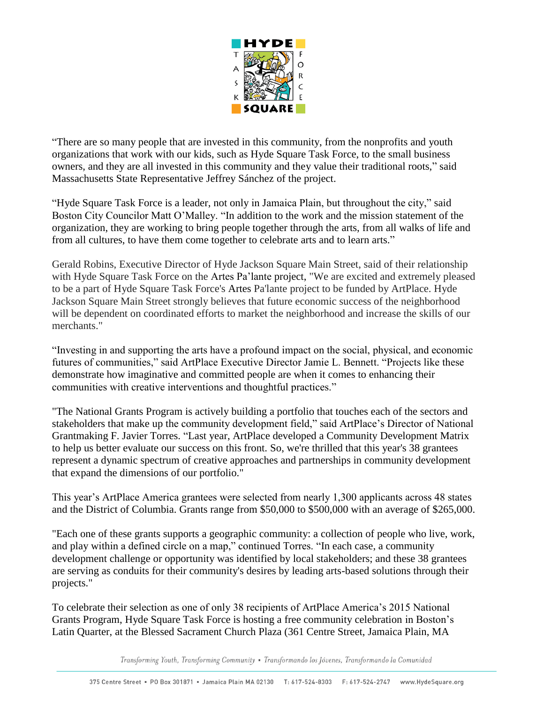

"There are so many people that are invested in this community, from the nonprofits and youth organizations that work with our kids, such as Hyde Square Task Force, to the small business owners, and they are all invested in this community and they value their traditional roots," said Massachusetts State Representative Jeffrey Sánchez of the project.

"Hyde Square Task Force is a leader, not only in Jamaica Plain, but throughout the city," said Boston City Councilor Matt O'Malley. "In addition to the work and the mission statement of the organization, they are working to bring people together through the arts, from all walks of life and from all cultures, to have them come together to celebrate arts and to learn arts."

Gerald Robins, Executive Director of Hyde Jackson Square Main Street, said of their relationship with Hyde Square Task Force on the Artes Pa'lante project, "We are excited and extremely pleased to be a part of Hyde Square Task Force's Artes Pa'lante project to be funded by ArtPlace. Hyde Jackson Square Main Street strongly believes that future economic success of the neighborhood will be dependent on coordinated efforts to market the neighborhood and increase the skills of our merchants."

"Investing in and supporting the arts have a profound impact on the social, physical, and economic futures of communities," said ArtPlace Executive Director Jamie L. Bennett. "Projects like these demonstrate how imaginative and committed people are when it comes to enhancing their communities with creative interventions and thoughtful practices."

"The National Grants Program is actively building a portfolio that touches each of the sectors and stakeholders that make up the community development field," said ArtPlace's Director of National Grantmaking F. Javier Torres. "Last year, ArtPlace developed a Community Development Matrix to help us better evaluate our success on this front. So, we're thrilled that this year's 38 grantees represent a dynamic spectrum of creative approaches and partnerships in community development that expand the dimensions of our portfolio."

This year's ArtPlace America grantees were selected from nearly 1,300 applicants across 48 states and the District of Columbia. Grants range from \$50,000 to \$500,000 with an average of \$265,000.

"Each one of these grants supports a geographic community: a collection of people who live, work, and play within a defined circle on a map," continued Torres. "In each case, a community development challenge or opportunity was identified by local stakeholders; and these 38 grantees are serving as conduits for their community's desires by leading arts-based solutions through their projects."

To celebrate their selection as one of only 38 recipients of ArtPlace America's 2015 National Grants Program, Hyde Square Task Force is hosting a free community celebration in Boston's Latin Quarter, at the Blessed Sacrament Church Plaza (361 Centre Street, Jamaica Plain, MA

Transforming Youth, Transforming Community . Transformando los Jóvenes, Transformando la Comunidad